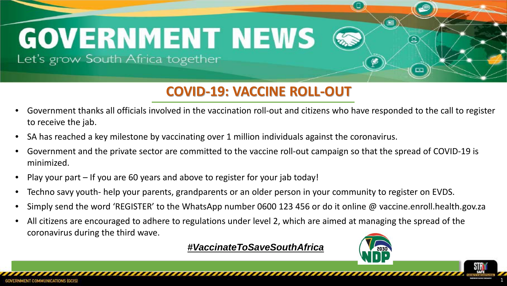## **Rapid Response Related media coverage: GOVERNMENT NEWS**

Let's grow South Africa together

#### **COVID-19: VACCINE ROLL-OUT**

- Government thanks all officials involved in the vaccination roll-out and citizens who have responded to the call to register to receive the jab.
- SA has reached a key milestone by vaccinating over 1 million individuals against the coronavirus.
- Government and the private sector are committed to the vaccine roll-out campaign so that the spread of COVID-19 is minimized.
- Play your part If you are 60 years and above to register for your jab today!
- Techno savy youth- help your parents, grandparents or an older person in your community to register on EVDS.
- Simply send the word 'REGISTER' to the WhatsApp number 0600 123 456 or do it online @ vaccine.enroll.health.gov.za
- All citizens are encouraged to adhere to regulations under level 2, which are aimed at managing the spread of the coronavirus during the third wave.

*#VaccinateToSaveSouthAfrica*



⊡

1

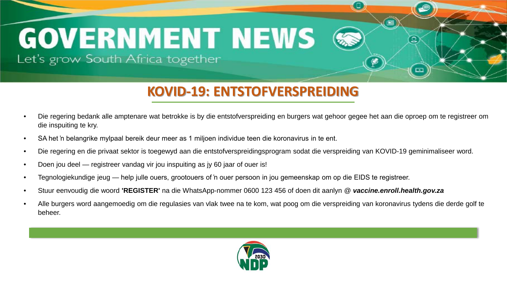# **Rapid Response Related media coverage: GOVERNMENT NEWS**

Let's grow South Africa together

#### **KOVID-19: ENTSTOFVERSPREIDING**

- Die regering bedank alle amptenare wat betrokke is by die entstofverspreiding en burgers wat gehoor gegee het aan die oproep om te registreer om die inspuiting te kry.
- SA het 'n belangrike mylpaal bereik deur meer as 1 miljoen individue teen die koronavirus in te ent.
- Die regering en die privaat sektor is toegewyd aan die entstofverspreidingsprogram sodat die verspreiding van KOVID-19 geminimaliseer word.
- Doen jou deel registreer vandag vir jou inspuiting as jy 60 jaar of ouer is!
- Tegnologiekundige jeug help julle ouers, grootouers of 'n ouer persoon in jou gemeenskap om op die EIDS te registreer.
- Stuur eenvoudig die woord **'REGISTER'** na die WhatsApp-nommer 0600 123 456 of doen dit aanlyn @ *vaccine.enroll.health.gov.za*
- Alle burgers word aangemoedig om die regulasies van vlak twee na te kom, wat poog om die verspreiding van koronavirus tydens die derde golf te beheer.

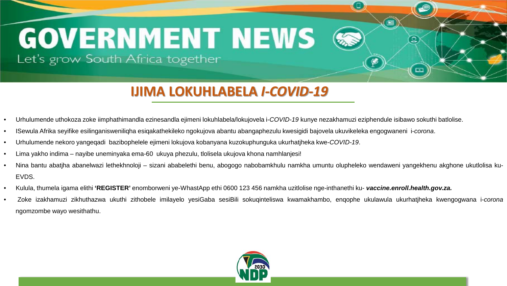## **Rapid Response Related media coverage: GOVERNMENT NEWS** Let's grow South Africa together

#### **IJIMA LOKUHLABELA** *I-COVID-19*

- Urhulumende uthokoza zoke iimphathimandla ezinesandla ejimeni lokuhlabela/lokujovela i-*COVID-19* kunye nezakhamuzi eziphendule isibawo sokuthi batlolise.
- ISewula Afrika seyifike esilinganisweniliqha esiqakathekileko ngokujova abantu abangaphezulu kwesigidi bajovela ukuvikeleka engogwaneni i-*corona*.
- Urhulumende nekoro yangeqadi bazibophelele ejimeni lokujova kobanyana kuzokuphunguka ukurhatjheka kwe-*COVID-19*.
- Lima yakho indima nayibe uneminyaka ema-60 ukuya phezulu, tlolisela ukujova khona namhlanjesi!
- Nina bantu abatjha abanelwazi lethekhnoloji sizani ababelethi benu, abogogo nabobamkhulu namkha umuntu olupheleko wendaweni yangekhenu akghone ukutlolisa ku-EVDS.
- Kulula, thumela igama elithi **'REGISTER'** enomborweni ye-WhastApp ethi 0600 123 456 namkha uzitlolise nge-inthanethi ku- *vaccine.enroll.health.gov.za.*
- Zoke izakhamuzi zikhuthazwa ukuthi zithobele imilayelo yesiGaba sesiBili sokuqinteliswa kwamakhambo, enqophe ukulawula ukurhatjheka kwengogwana i-*corona* ngomzombe wayo wesithathu.



**© ask afrika 2020** 1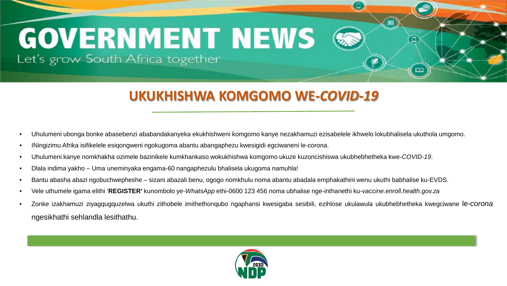# **GOVERNMENT NEWS**

Let's grow South Africa together

#### **UKUKHISHWA KOMGOMO WE-***COVID-19*

**Rapid Response Related media coverage:**

- Uhulumeni ubonga bonke abasebenzi ababandakanyeka ekukhishweni komgomo kanye nezakhamuzi ezisabelele ikhwelo lokubhalisela ukuthola umgomo.
- INingizimu Afrika isifikelele esiqongweni ngokugoma abantu abangaphezu kwesigidi egciwaneni le-*corona*.
- Uhulumeni kanye nomkhakha ozimele bazinikele kumkhankaso wokukhishwa komgomo ukuze kuzoncishiswa ukubhebhetheka kwe-*COVID-19*.
- Dlala indima yakho Uma uneminyaka engama-60 nangaphezulu bhalisela ukugoma namuhla!
- Bantu abasha abazi ngobuchwepheshe sizani abazali benu, ogogo nomkhulu noma abantu abadala emphakathini wenu ukuthi babhalise ku-EVDS.
- Vele uthumele igama elithi '**REGISTER'** kunombolo ye-*WhatsApp* ethi-0600 123 456 noma ubhalise nge-inthanethi ku-*vaccine.enroll.health.gov.za*
- Zonke izakhamuzi ziyagqugquzelwa ukuthi zithobele imithethonqubo ngaphansi kwesigaba sesibili, ezihlose ukulawula ukubhebhetheka kwegciwane le-*corona* ngesikhathi sehlandla lesithathu.

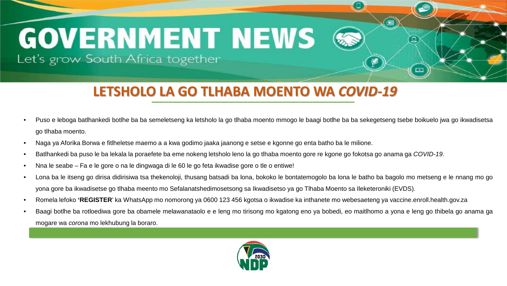# **Rapid Response Related media coverage: GOVERNMENT NEWS**

Let's grow South Africa together

#### **LETSHOLO LA GO TLHABA MOENTO WA** *COVID-19*

• Puso e leboga batlhankedi botlhe ba ba semeletseng ka letsholo la go tlhaba moento mmogo le baagi botlhe ba ba sekegetseng tsebe boikuelo jwa go ikwadisetsa go tlhaba moento.

- Naga ya Aforika Borwa e fitlheletse maemo a a kwa godimo jaaka jaanong e setse e kgonne go enta batho ba le milione.
- Batlhankedi ba puso le ba lekala la poraefete ba eme nokeng letsholo leno la go tlhaba moento gore re kgone go fokotsa go anama ga *COVID-19*.
- Nna le seabe Fa e le gore o na le dingwaga di le 60 le go feta ikwadise gore o tle o entiwe!
- Lona ba le itseng go dirisa didirisiwa tsa thekenoloji, thusang batsadi ba lona, bokoko le bontatemogolo ba lona le batho ba bagolo mo metseng e le nnang mo go yona gore ba ikwadisetse go tlhaba meento mo Sefalanatshedimosetsong sa Ikwadisetso ya go Tlhaba Moento sa Ileketeroniki (EVDS).
- Romela lefoko 'REGISTER' ka WhatsApp mo nomorong ya 0600 123 456 kgotsa o ikwadise ka inthanete mo webesaeteng ya vaccine.enroll.health.gov.za
- Baagi botlhe ba rotloediwa gore ba obamele melawanataolo e e leng mo tirisong mo kgatong eno ya bobedi, eo maitlhomo a yona e leng go thibela go anama ga mogare wa *corona* mo lekhubung la boraro.

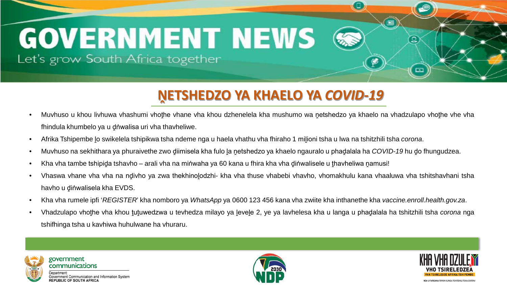## **GOVERNMENT NEWS** Let's grow South Africa together

#### **ṊETSHEDZO YA KHAELO YA** *COVID-19*

- Muvhuso u khou livhuwa vhashumi vhothe vhane vha khou dzhenelela kha mushumo wa netshedzo ya khaelo na vhadzulapo vhothe vhe vha fhindula khumbelo ya u ḓṅwalisa uri vha thavheliwe.
- Afrika Tshipembe lo swikelela tshipikwa tsha ndeme nga u haela vhathu vha fhiraho 1 milioni tsha u lwa na tshitzhili tsha *corona*.
- Muvhuso na sekhithara ya phuraivethe zwo diimisela kha fulo la netshedzo ya khaelo ngauralo u phadalala ha *COVID-19* hu do fhungudzea.
- Kha vha tambe tshipiḍa tshavho arali vha na miṅwaha ya 60 kana u fhira kha vha ḍiṅwalisele u ṭhavheliwa ṇamusi!
- Vhaswa vhane vha vha na ndivho ya zwa thekhinolodzhi- kha vha thuse vhabebi vhavho, vhomakhulu kana vhaaluwa vha tshitshavhani tsha havho u dinwalisela kha EVDS.
- Kha vha rumele ipfi '*REGISTER*' kha nomboro ya *WhatsApp* ya 0600 123 456 kana vha zwiite kha inthanethe kha *vaccine.enroll.health.gov.za*.
- Vhadzulapo vhoṭhe vha khou ṭuṭuwedzwa u tevhedza milayo ya ḷeveḷe 2, ye ya lavhelesa kha u langa u phaḍalala ha tshitzhili tsha *corona* nga tshifhinga tsha u kavhiwa huhulwane ha vhuraru.



communications ment Communication and Information System **REPUBLIC OF SOUTH AFRICA** 

**rovernment** 





囜